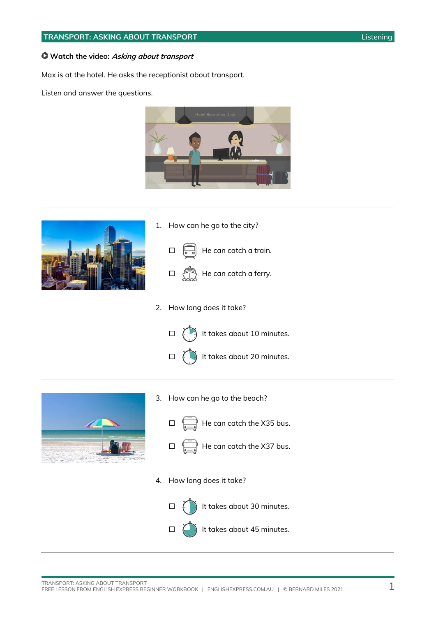#### **TRANSPORT: ASKING ABOUT TRANSPORT** Listening

#### **Watch the video: Asking about transport**

Max is at the hotel. He asks the receptionist about transport.

Listen and answer the questions.





1. How can he go to the city?



2. How long does it take?







 $\Box$  It takes about 45 minutes.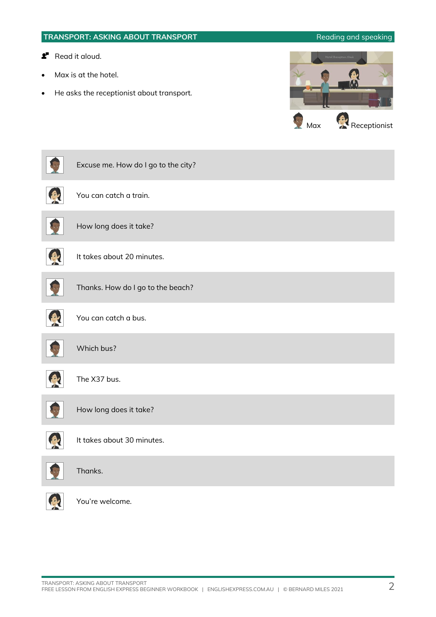# **TRANSPORT: ASKING ABOUT TRANSPORT Reading and speaking Read it aloud.** Max is at the hotel. • He asks the receptionist about transport. Max Receptionist Excuse me. How do I go to the city? B You can catch a train. How long does it take? A It takes about 20 minutes. Thanks. How do I go to the beach? You can catch a bus. Which bus? B The X37 bus. How long does it take? 6 It takes about 30 minutes. Thanks. You're welcome.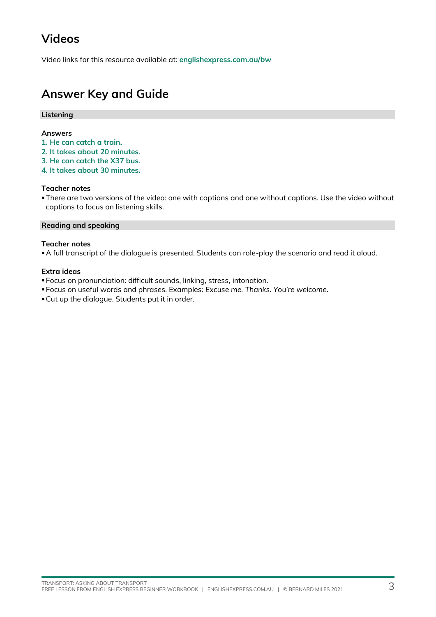## **Videos**

Video links for this resource available at: **[englishexpress.com.au/bw](https://www.englishexpress.com.au/bw)**

### **Answer Key and Guide**

#### **Listening**

#### **Answers**

- **1. He can catch a train.**
- **2. It takes about 20 minutes.**
- **3. He can catch the X37 bus.**
- **4. It takes about 30 minutes.**

#### **Teacher notes**

**There are two versions of the video: one with captions and one without captions. Use the video without** captions to focus on listening skills.

#### **Reading and speaking**

#### **Teacher notes**

▪A full transcript of the dialogue is presented. Students can role-play the scenario and read it aloud.

#### **Extra ideas**

- Focus on pronunciation: difficult sounds, linking, stress, intonation.
- Focus on useful words and phrases. Examples: *Excuse me. Thanks. You're welcome.*
- ▪Cut up the dialogue. Students put it in order.